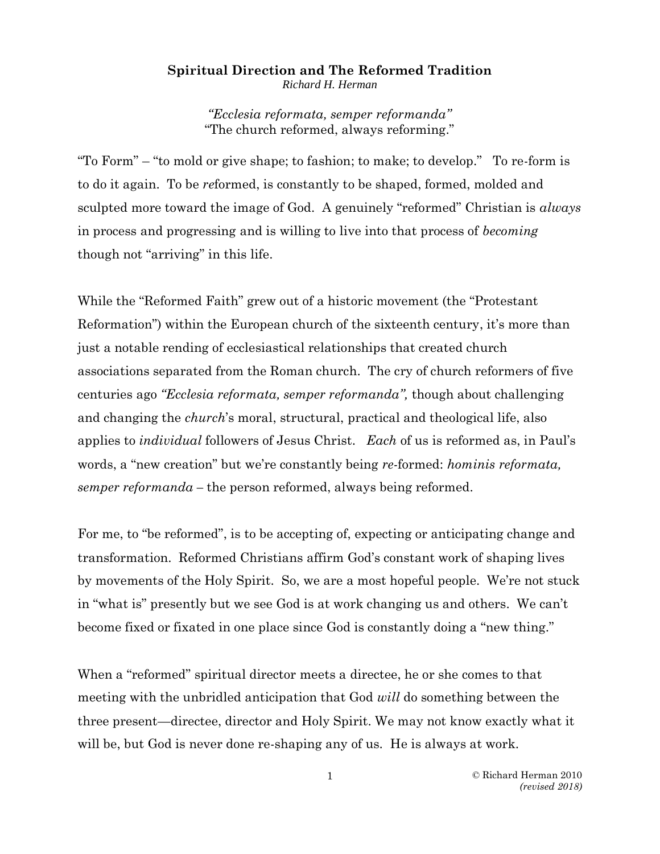## **Spiritual Direction and The Reformed Tradition**

*Richard H. Herman*

*"Ecclesia reformata, semper reformanda"* "The church reformed, always reforming."

"To Form" – "to mold or give shape; to fashion; to make; to develop." To re-form is to do it again. To be *re*formed, is constantly to be shaped, formed, molded and sculpted more toward the image of God. A genuinely "reformed" Christian is *always*  in process and progressing and is willing to live into that process of *becoming* though not "arriving" in this life.

While the "Reformed Faith" grew out of a historic movement (the "Protestant Reformation") within the European church of the sixteenth century, it's more than just a notable rending of ecclesiastical relationships that created church associations separated from the Roman church. The cry of church reformers of five centuries ago *"Ecclesia reformata, semper reformanda",* though about challenging and changing the *church*'s moral, structural, practical and theological life, also applies to *individual* followers of Jesus Christ. *Each* of us is reformed as, in Paul's words, a "new creation" but we're constantly being *re-*formed: *hominis reformata, semper reformanda –* the person reformed, always being reformed.

For me, to "be reformed", is to be accepting of, expecting or anticipating change and transformation. Reformed Christians affirm God's constant work of shaping lives by movements of the Holy Spirit. So, we are a most hopeful people. We're not stuck in "what is" presently but we see God is at work changing us and others. We can't become fixed or fixated in one place since God is constantly doing a "new thing."

When a "reformed" spiritual director meets a directee, he or she comes to that meeting with the unbridled anticipation that God *will* do something between the three present—directee, director and Holy Spirit. We may not know exactly what it will be, but God is never done re-shaping any of us. He is always at work.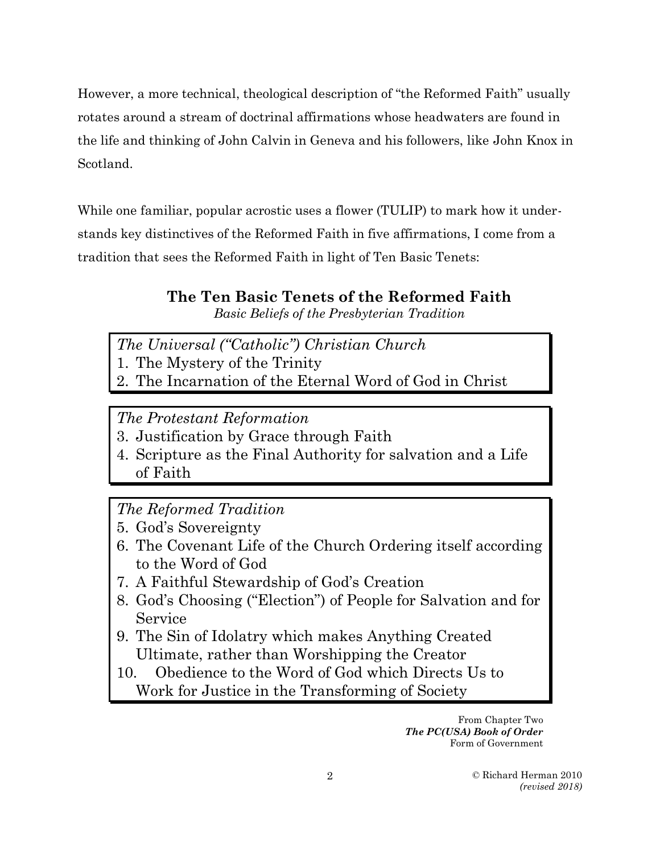However, a more technical, theological description of "the Reformed Faith" usually rotates around a stream of doctrinal affirmations whose headwaters are found in the life and thinking of John Calvin in Geneva and his followers, like John Knox in Scotland.

While one familiar, popular acrostic uses a flower (TULIP) to mark how it understands key distinctives of the Reformed Faith in five affirmations, I come from a tradition that sees the Reformed Faith in light of Ten Basic Tenets:

# **The Ten Basic Tenets of the Reformed Faith**

*Basic Beliefs of the Presbyterian Tradition*

- *The Universal ("Catholic") Christian Church*
- 1. The Mystery of the Trinity
- 2. The Incarnation of the Eternal Word of God in Christ

*The Protestant Reformation*

- 3. Justification by Grace through Faith
- 4. Scripture as the Final Authority for salvation and a Life of Faith

*The Reformed Tradition*

- 5. God's Sovereignty
- 6. The Covenant Life of the Church Ordering itself according to the Word of God
- 7. A Faithful Stewardship of God's Creation
- 8. God's Choosing ("Election") of People for Salvation and for Service
- 9. The Sin of Idolatry which makes Anything Created Ultimate, rather than Worshipping the Creator
- 10. Obedience to the Word of God which Directs Us to Work for Justice in the Transforming of Society

From Chapter Two *The PC(USA) Book of Order* Form of Government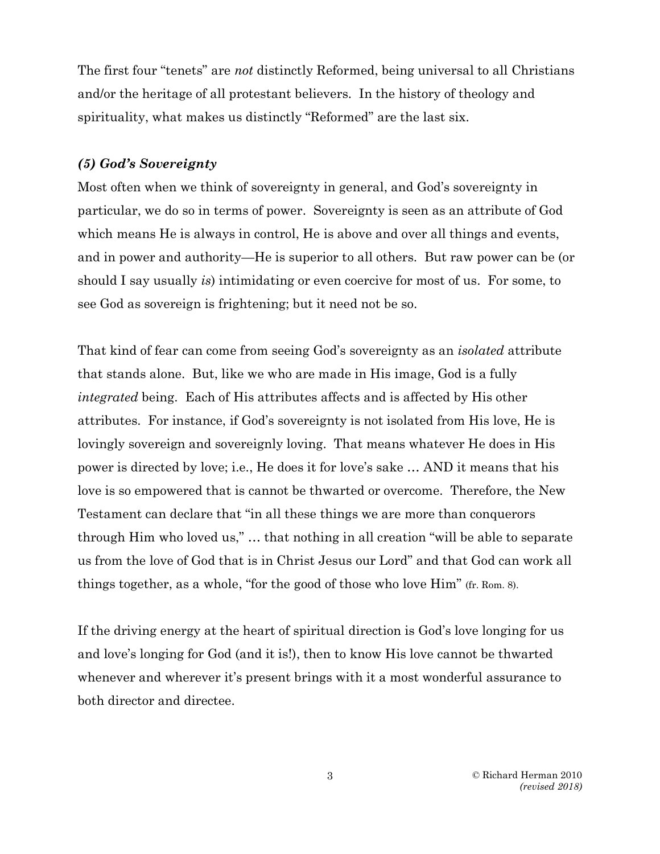The first four "tenets" are *not* distinctly Reformed, being universal to all Christians and/or the heritage of all protestant believers. In the history of theology and spirituality, what makes us distinctly "Reformed" are the last six.

### *(5) God's Sovereignty*

Most often when we think of sovereignty in general, and God's sovereignty in particular, we do so in terms of power. Sovereignty is seen as an attribute of God which means He is always in control, He is above and over all things and events, and in power and authority—He is superior to all others. But raw power can be (or should I say usually *is*) intimidating or even coercive for most of us. For some, to see God as sovereign is frightening; but it need not be so.

That kind of fear can come from seeing God's sovereignty as an *isolated* attribute that stands alone. But, like we who are made in His image, God is a fully *integrated* being. Each of His attributes affects and is affected by His other attributes. For instance, if God's sovereignty is not isolated from His love, He is lovingly sovereign and sovereignly loving. That means whatever He does in His power is directed by love; i.e., He does it for love's sake … AND it means that his love is so empowered that is cannot be thwarted or overcome. Therefore, the New Testament can declare that "in all these things we are more than conquerors through Him who loved us," … that nothing in all creation "will be able to separate us from the love of God that is in Christ Jesus our Lord" and that God can work all things together, as a whole, "for the good of those who love Him" (fr. Rom. 8).

If the driving energy at the heart of spiritual direction is God's love longing for us and love's longing for God (and it is!), then to know His love cannot be thwarted whenever and wherever it's present brings with it a most wonderful assurance to both director and directee.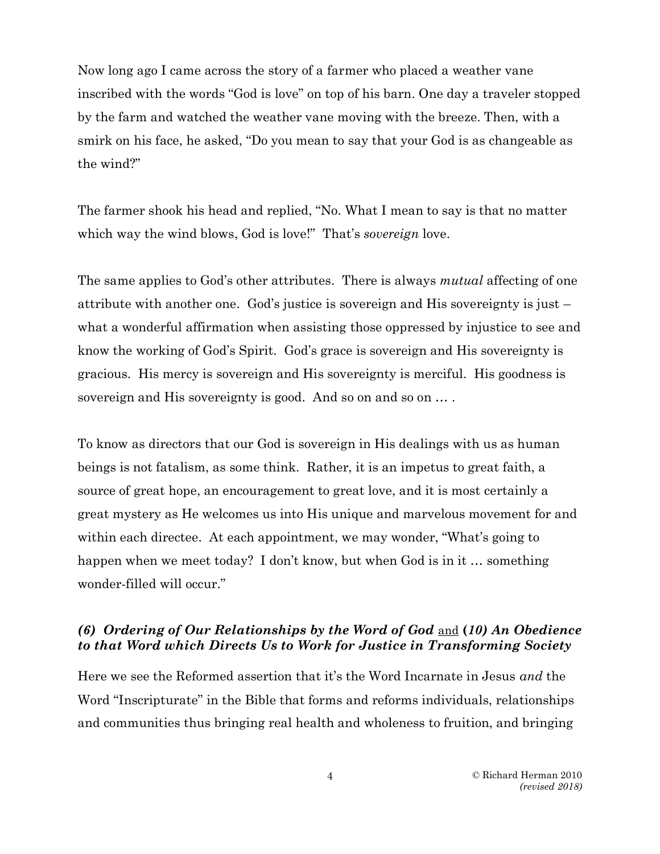Now long ago I came across the story of a farmer who placed a weather vane inscribed with the words "God is love" on top of his barn. One day a traveler stopped by the farm and watched the weather vane moving with the breeze. Then, with a smirk on his face, he asked, "Do you mean to say that your God is as changeable as the wind?"

The farmer shook his head and replied, "No. What I mean to say is that no matter which way the wind blows, God is love!" That's *sovereign* love.

The same applies to God's other attributes. There is always *mutual* affecting of one attribute with another one. God's justice is sovereign and His sovereignty is just – what a wonderful affirmation when assisting those oppressed by injustice to see and know the working of God's Spirit. God's grace is sovereign and His sovereignty is gracious. His mercy is sovereign and His sovereignty is merciful. His goodness is sovereign and His sovereignty is good. And so on and so on  $\dots$ .

To know as directors that our God is sovereign in His dealings with us as human beings is not fatalism, as some think. Rather, it is an impetus to great faith, a source of great hope, an encouragement to great love, and it is most certainly a great mystery as He welcomes us into His unique and marvelous movement for and within each directee. At each appointment, we may wonder, "What's going to happen when we meet today? I don't know, but when God is in it … something wonder-filled will occur."

## *(6) Ordering of Our Relationships by the Word of God* and **(***10) An Obedience to that Word which Directs Us to Work for Justice in Transforming Society*

Here we see the Reformed assertion that it's the Word Incarnate in Jesus *and* the Word "Inscripturate" in the Bible that forms and reforms individuals, relationships and communities thus bringing real health and wholeness to fruition, and bringing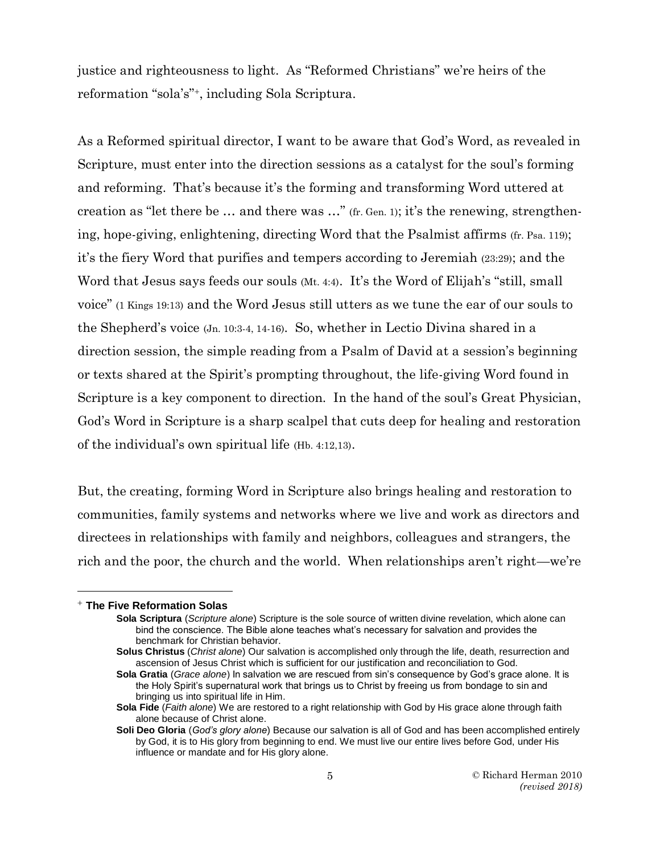justice and righteousness to light. As "Reformed Christians" we're heirs of the reformation "sola's"<sup>+</sup> , including Sola Scriptura.

As a Reformed spiritual director, I want to be aware that God's Word, as revealed in Scripture, must enter into the direction sessions as a catalyst for the soul's forming and reforming. That's because it's the forming and transforming Word uttered at creation as "let there be … and there was …" (fr. Gen. 1); it's the renewing, strengthening, hope-giving, enlightening, directing Word that the Psalmist affirms (fr. Psa. 119); it's the fiery Word that purifies and tempers according to Jeremiah (23:29); and the Word that Jesus says feeds our souls (Mt. 4:4). It's the Word of Elijah's "still, small voice" (1 Kings 19:13) and the Word Jesus still utters as we tune the ear of our souls to the Shepherd's voice (Jn. 10:3-4, 14-16). So, whether in Lectio Divina shared in a direction session, the simple reading from a Psalm of David at a session's beginning or texts shared at the Spirit's prompting throughout, the life-giving Word found in Scripture is a key component to direction. In the hand of the soul's Great Physician, God's Word in Scripture is a sharp scalpel that cuts deep for healing and restoration of the individual's own spiritual life (Hb. 4:12,13).

But, the creating, forming Word in Scripture also brings healing and restoration to communities, family systems and networks where we live and work as directors and directees in relationships with family and neighbors, colleagues and strangers, the rich and the poor, the church and the world. When relationships aren't right—we're

 $\overline{a}$ 

<sup>+</sup> **The Five Reformation Solas**

**Sola Scriptura** (*Scripture alone*) Scripture is the sole source of written divine revelation, which alone can bind the conscience. The Bible alone teaches what's necessary for salvation and provides the benchmark for Christian behavior.

**Solus Christus** (*Christ alone*) Our salvation is accomplished only through the life, death, resurrection and ascension of Jesus Christ which is sufficient for our justification and reconciliation to God.

**Sola Gratia** (*Grace alone*) In salvation we are rescued from sin's consequence by God's grace alone. It is the Holy Spirit's supernatural work that brings us to Christ by freeing us from bondage to sin and bringing us into spiritual life in Him.

**Sola Fide** (*Faith alone*) We are restored to a right relationship with God by His grace alone through faith alone because of Christ alone.

**Soli Deo Gloria** (*God's glory alone*) Because our salvation is all of God and has been accomplished entirely by God, it is to His glory from beginning to end. We must live our entire lives before God, under His influence or mandate and for His glory alone.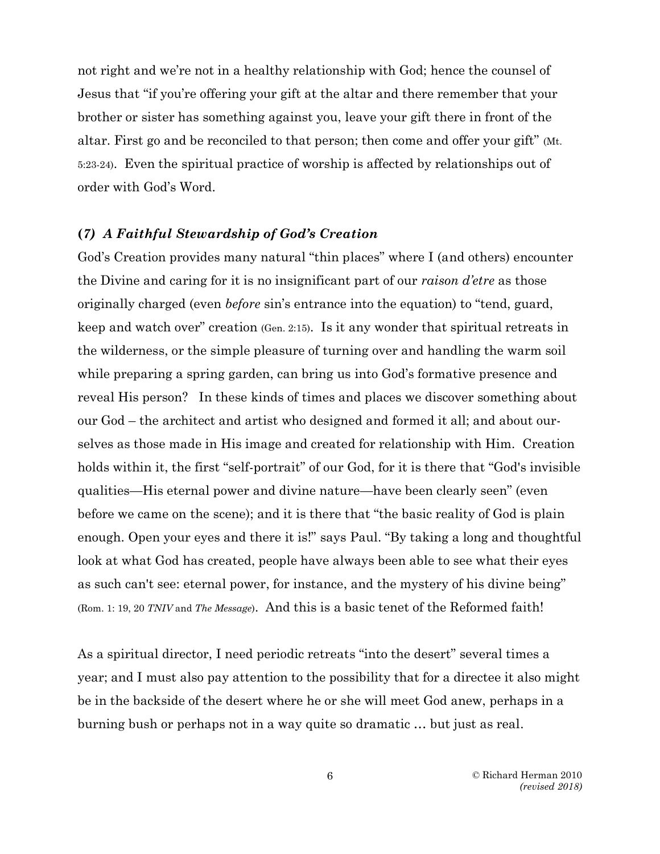not right and we're not in a healthy relationship with God; hence the counsel of Jesus that "if you're offering your gift at the altar and there remember that your brother or sister has something against you, leave your gift there in front of the altar. First go and be reconciled to that person; then come and offer your gift" (Mt. 5:23-24). Even the spiritual practice of worship is affected by relationships out of order with God's Word.

#### **(***7) A Faithful Stewardship of God's Creation*

God's Creation provides many natural "thin places" where I (and others) encounter the Divine and caring for it is no insignificant part of our *raison d'etre* as those originally charged (even *before* sin's entrance into the equation) to "tend, guard, keep and watch over" creation (Gen. 2:15). Is it any wonder that spiritual retreats in the wilderness, or the simple pleasure of turning over and handling the warm soil while preparing a spring garden, can bring us into God's formative presence and reveal His person? In these kinds of times and places we discover something about our God – the architect and artist who designed and formed it all; and about ourselves as those made in His image and created for relationship with Him. Creation holds within it, the first "self-portrait" of our God, for it is there that "God's invisible qualities—His eternal power and divine nature—have been clearly seen" (even before we came on the scene); and it is there that "the basic reality of God is plain enough. Open your eyes and there it is!" says Paul. "By taking a long and thoughtful look at what God has created, people have always been able to see what their eyes as such can't see: eternal power, for instance, and the mystery of his divine being" (Rom. 1: 19, 20 *TNIV* and *The Message*). And this is a basic tenet of the Reformed faith!

As a spiritual director, I need periodic retreats "into the desert" several times a year; and I must also pay attention to the possibility that for a directee it also might be in the backside of the desert where he or she will meet God anew, perhaps in a burning bush or perhaps not in a way quite so dramatic … but just as real.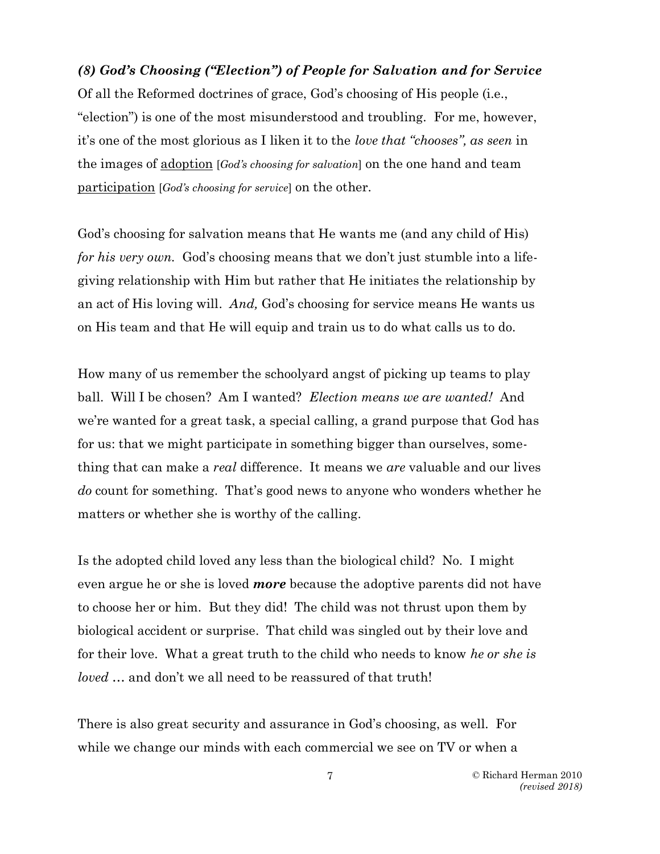*(8) God's Choosing ("Election") of People for Salvation and for Service* Of all the Reformed doctrines of grace, God's choosing of His people (i.e., "election") is one of the most misunderstood and troubling. For me, however, it's one of the most glorious as I liken it to the *love that "chooses", as seen* in the images of adoption [*God's choosing for salvation*] on the one hand and team participation [*God's choosing for service*] on the other.

God's choosing for salvation means that He wants me (and any child of His) *for his very own.* God's choosing means that we don't just stumble into a lifegiving relationship with Him but rather that He initiates the relationship by an act of His loving will. *And,* God's choosing for service means He wants us on His team and that He will equip and train us to do what calls us to do.

How many of us remember the schoolyard angst of picking up teams to play ball. Will I be chosen? Am I wanted? *Election means we are wanted!* And we're wanted for a great task, a special calling, a grand purpose that God has for us: that we might participate in something bigger than ourselves, something that can make a *real* difference. It means we *are* valuable and our lives *do* count for something. That's good news to anyone who wonders whether he matters or whether she is worthy of the calling.

Is the adopted child loved any less than the biological child? No. I might even argue he or she is loved *more* because the adoptive parents did not have to choose her or him. But they did! The child was not thrust upon them by biological accident or surprise. That child was singled out by their love and for their love. What a great truth to the child who needs to know *he or she is loved* … and don't we all need to be reassured of that truth!

There is also great security and assurance in God's choosing, as well. For while we change our minds with each commercial we see on TV or when a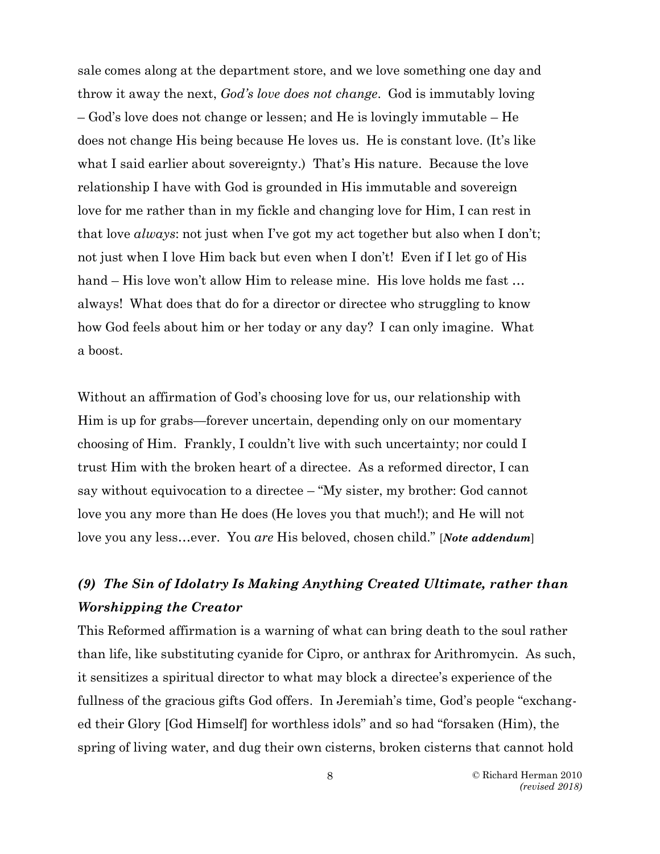sale comes along at the department store, and we love something one day and throw it away the next, *God's love does not change*. God is immutably loving – God's love does not change or lessen; and He is lovingly immutable – He does not change His being because He loves us. He is constant love. (It's like what I said earlier about sovereignty.) That's His nature. Because the love relationship I have with God is grounded in His immutable and sovereign love for me rather than in my fickle and changing love for Him, I can rest in that love *always*: not just when I've got my act together but also when I don't; not just when I love Him back but even when I don't! Even if I let go of His hand – His love won't allow Him to release mine. His love holds me fast … always! What does that do for a director or directee who struggling to know how God feels about him or her today or any day? I can only imagine. What a boost.

Without an affirmation of God's choosing love for us, our relationship with Him is up for grabs—forever uncertain, depending only on our momentary choosing of Him. Frankly, I couldn't live with such uncertainty; nor could I trust Him with the broken heart of a directee. As a reformed director, I can say without equivocation to a directee – "My sister, my brother: God cannot love you any more than He does (He loves you that much!); and He will not love you any less…ever. You *are* His beloved, chosen child." [*Note addendum*]

## *(9) The Sin of Idolatry Is Making Anything Created Ultimate, rather than Worshipping the Creator*

This Reformed affirmation is a warning of what can bring death to the soul rather than life, like substituting cyanide for Cipro, or anthrax for Arithromycin. As such, it sensitizes a spiritual director to what may block a directee's experience of the fullness of the gracious gifts God offers. In Jeremiah's time, God's people "exchanged their Glory [God Himself] for worthless idols" and so had "forsaken (Him), the spring of living water, and dug their own cisterns, broken cisterns that cannot hold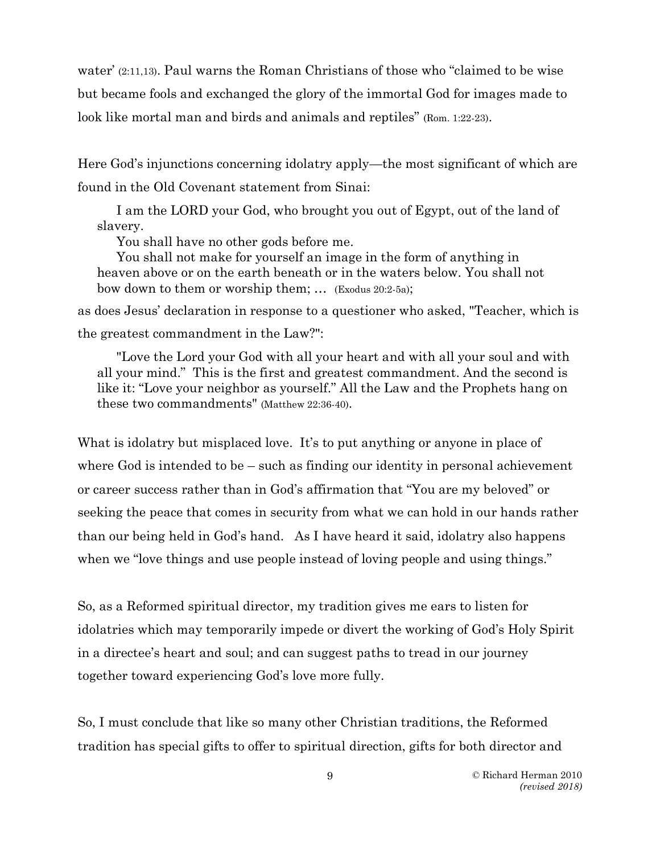water' (2:11,13). Paul warns the Roman Christians of those who "claimed to be wise but became fools and exchanged the glory of the immortal God for images made to look like mortal man and birds and animals and reptiles" (Rom. 1:22-23).

Here God's injunctions concerning idolatry apply—the most significant of which are found in the Old Covenant statement from Sinai:

I am the LORD your God, who brought you out of Egypt, out of the land of slavery.

You shall have no other gods before me.

You shall not make for yourself an image in the form of anything in heaven above or on the earth beneath or in the waters below. You shall not bow down to them or worship them; … (Exodus 20:2-5a);

as does Jesus' declaration in response to a questioner who asked, "Teacher, which is the greatest commandment in the Law?":

"Love the Lord your God with all your heart and with all your soul and with all your mind." This is the first and greatest commandment. And the second is like it: "Love your neighbor as yourself." All the Law and the Prophets hang on these two commandments" (Matthew 22:36-40).

What is idolatry but misplaced love. It's to put anything or anyone in place of where God is intended to be – such as finding our identity in personal achievement or career success rather than in God's affirmation that "You are my beloved" or seeking the peace that comes in security from what we can hold in our hands rather than our being held in God's hand. As I have heard it said, idolatry also happens when we "love things and use people instead of loving people and using things."

So, as a Reformed spiritual director, my tradition gives me ears to listen for idolatries which may temporarily impede or divert the working of God's Holy Spirit in a directee's heart and soul; and can suggest paths to tread in our journey together toward experiencing God's love more fully.

So, I must conclude that like so many other Christian traditions, the Reformed tradition has special gifts to offer to spiritual direction, gifts for both director and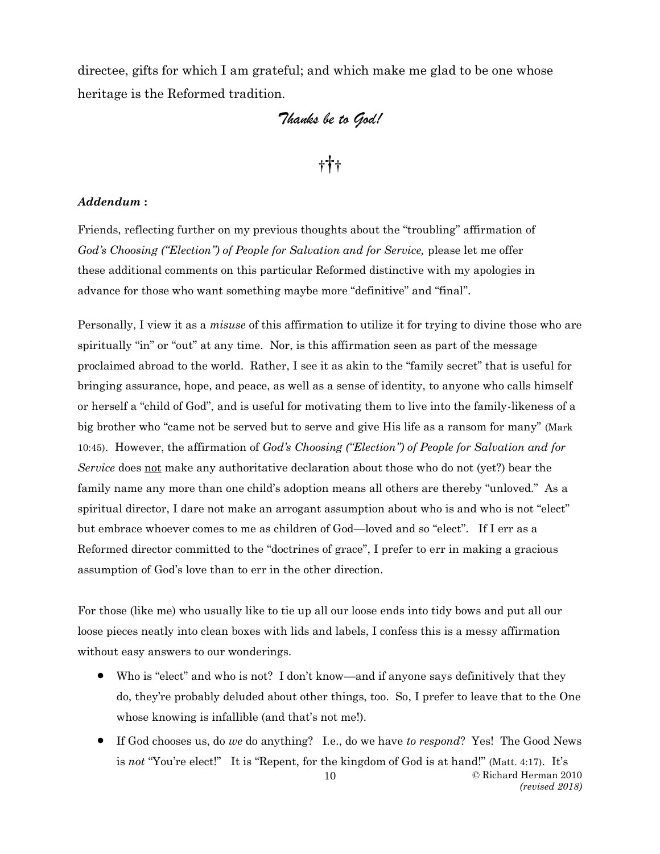directee, gifts for which I am grateful; and which make me glad to be one whose heritage is the Reformed tradition.

## *Thanks be to God!*

# †††

#### *Addendum* **:**

Friends, reflecting further on my previous thoughts about the "troubling" affirmation of *God's Choosing ("Election") of People for Salvation and for Service, please let me offer* these additional comments on this particular Reformed distinctive with my apologies in advance for those who want something maybe more "definitive" and "final".

Personally, I view it as a *misuse* of this affirmation to utilize it for trying to divine those who are spiritually "in" or "out" at any time. Nor, is this affirmation seen as part of the message proclaimed abroad to the world. Rather, I see it as akin to the "family secret" that is useful for bringing assurance, hope, and peace, as well as a sense of identity, to anyone who calls himself or herself a "child of God", and is useful for motivating them to live into the family-likeness of a big brother who "came not be served but to serve and give His life as a ransom for many" (Mark 10:45). However, the affirmation of *God's Choosing ("Election") of People for Salvation and for Service* does not make any authoritative declaration about those who do not (yet?) bear the family name any more than one child's adoption means all others are thereby "unloved." As a spiritual director, I dare not make an arrogant assumption about who is and who is not "elect" but embrace whoever comes to me as children of God—loved and so "elect". If I err as a Reformed director committed to the "doctrines of grace", I prefer to err in making a gracious assumption of God's love than to err in the other direction.

For those (like me) who usually like to tie up all our loose ends into tidy bows and put all our loose pieces neatly into clean boxes with lids and labels, I confess this is a messy affirmation without easy answers to our wonderings.

- Who is "elect" and who is not? I don't know—and if anyone says definitively that they do, they're probably deluded about other things, too. So, I prefer to leave that to the One whose knowing is infallible (and that's not me!).
- © Richard Herman 2010 10 • If God chooses us, do *we* do anything? I.e., do we have *to respond*? Yes! The Good News is *not* "You're elect!" It is "Repent, for the kingdom of God is at hand!" (Matt. 4:17). It's

*(revised 2018)*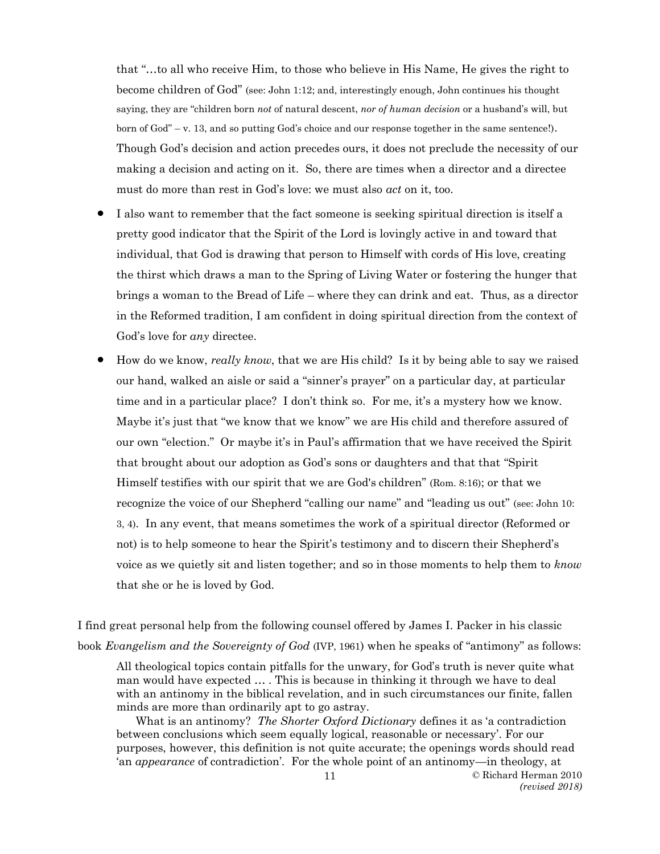that "…to all who receive Him, to those who believe in His Name, He gives the right to become children of God" (see: John 1:12; and, interestingly enough, John continues his thought saying, they are "children born *not* of natural descent, *nor of human decision* or a husband's will, but born of God" – v. 13, and so putting God's choice and our response together in the same sentence!). Though God's decision and action precedes ours, it does not preclude the necessity of our making a decision and acting on it. So, there are times when a director and a directee must do more than rest in God's love: we must also *act* on it, too.

- I also want to remember that the fact someone is seeking spiritual direction is itself a pretty good indicator that the Spirit of the Lord is lovingly active in and toward that individual, that God is drawing that person to Himself with cords of His love, creating the thirst which draws a man to the Spring of Living Water or fostering the hunger that brings a woman to the Bread of Life – where they can drink and eat. Thus, as a director in the Reformed tradition, I am confident in doing spiritual direction from the context of God's love for *any* directee.
- How do we know, *really know*, that we are His child? Is it by being able to say we raised our hand, walked an aisle or said a "sinner's prayer" on a particular day, at particular time and in a particular place? I don't think so. For me, it's a mystery how we know. Maybe it's just that "we know that we know" we are His child and therefore assured of our own "election." Or maybe it's in Paul's affirmation that we have received the Spirit that brought about our adoption as God's sons or daughters and that that "Spirit Himself testifies with our spirit that we are God's children" (Rom. 8:16); or that we recognize the voice of our Shepherd "calling our name" and "leading us out" (see: John 10: 3, 4). In any event, that means sometimes the work of a spiritual director (Reformed or not) is to help someone to hear the Spirit's testimony and to discern their Shepherd's voice as we quietly sit and listen together; and so in those moments to help them to *know* that she or he is loved by God.

I find great personal help from the following counsel offered by James I. Packer in his classic book *Evangelism and the Sovereignty of God* (IVP, 1961) when he speaks of "antimony" as follows:

All theological topics contain pitfalls for the unwary, for God's truth is never quite what man would have expected … . This is because in thinking it through we have to deal with an antinomy in the biblical revelation, and in such circumstances our finite, fallen minds are more than ordinarily apt to go astray.

What is an antinomy? *The Shorter Oxford Dictionary* defines it as 'a contradiction between conclusions which seem equally logical, reasonable or necessary'. For our purposes, however, this definition is not quite accurate; the openings words should read 'an *appearance* of contradiction'. For the whole point of an antinomy—in theology, at